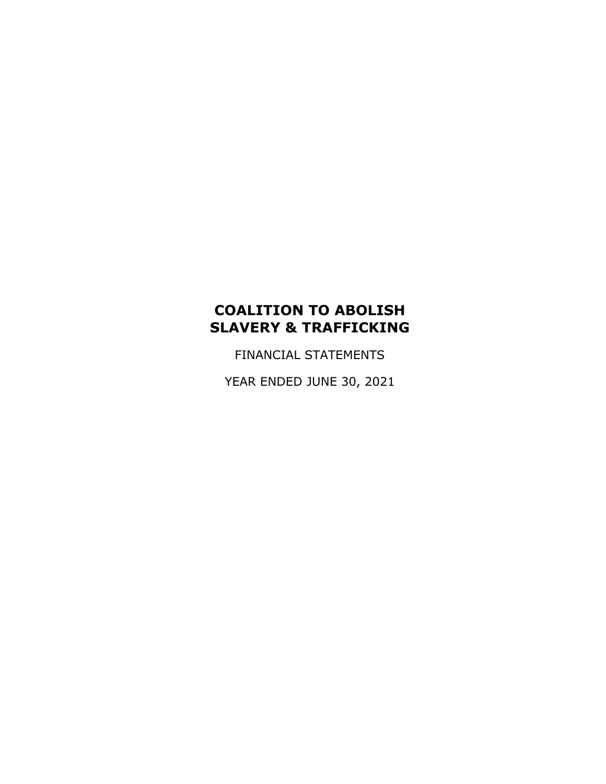FINANCIAL STATEMENTS

YEAR ENDED JUNE 30, 2021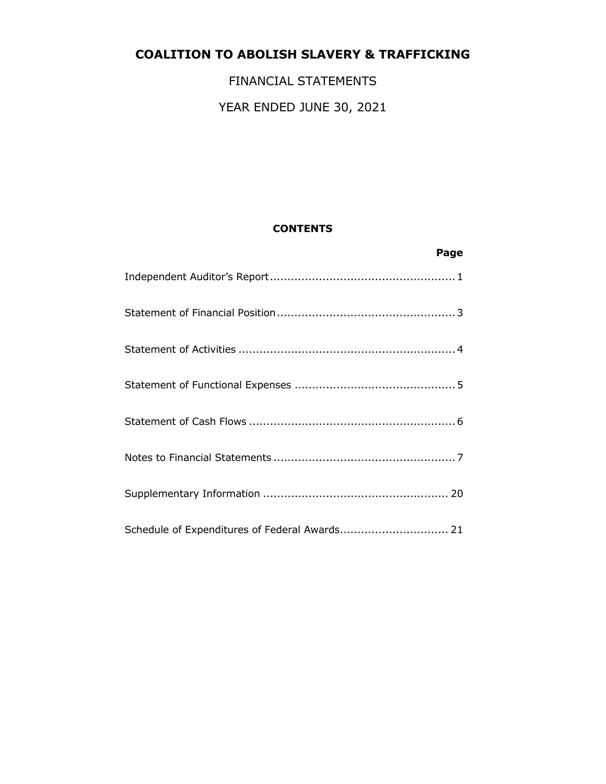FINANCIAL STATEMENTS

YEAR ENDED JUNE 30, 2021

### **CONTENTS**

| Page                                          |
|-----------------------------------------------|
|                                               |
|                                               |
|                                               |
|                                               |
|                                               |
|                                               |
|                                               |
| Schedule of Expenditures of Federal Awards 21 |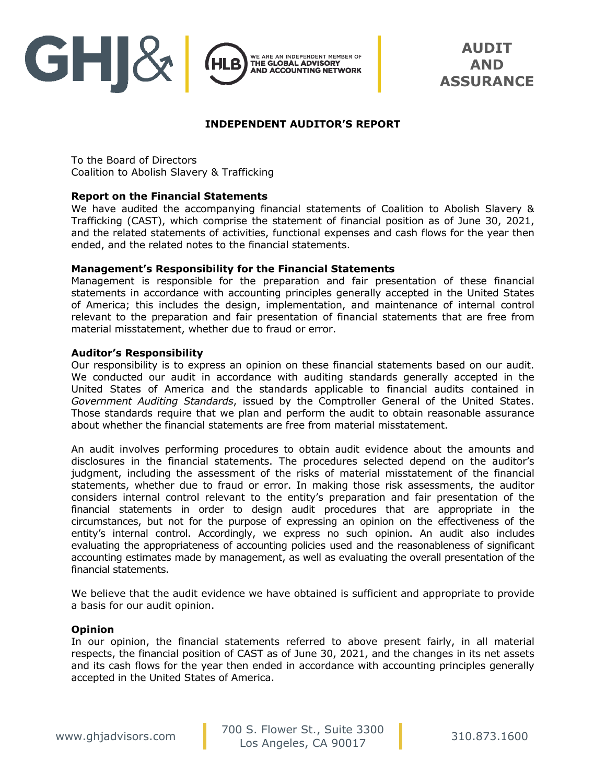

**AUDIT AND ASSURANCE** 

#### **INDEPENDENT AUDITOR'S REPORT**

To the Board of Directors Coalition to Abolish Slavery & Trafficking

#### **Report on the Financial Statements**

We have audited the accompanying financial statements of Coalition to Abolish Slavery & Trafficking (CAST), which comprise the statement of financial position as of June 30, 2021, and the related statements of activities, functional expenses and cash flows for the year then ended, and the related notes to the financial statements.

#### **Management's Responsibility for the Financial Statements**

Management is responsible for the preparation and fair presentation of these financial statements in accordance with accounting principles generally accepted in the United States of America; this includes the design, implementation, and maintenance of internal control relevant to the preparation and fair presentation of financial statements that are free from material misstatement, whether due to fraud or error.

#### **Auditor's Responsibility**

Our responsibility is to express an opinion on these financial statements based on our audit. We conducted our audit in accordance with auditing standards generally accepted in the United States of America and the standards applicable to financial audits contained in *Government Auditing Standards*, issued by the Comptroller General of the United States. Those standards require that we plan and perform the audit to obtain reasonable assurance about whether the financial statements are free from material misstatement.

An audit involves performing procedures to obtain audit evidence about the amounts and disclosures in the financial statements. The procedures selected depend on the auditor's judgment, including the assessment of the risks of material misstatement of the financial statements, whether due to fraud or error. In making those risk assessments, the auditor considers internal control relevant to the entity's preparation and fair presentation of the financial statements in order to design audit procedures that are appropriate in the circumstances, but not for the purpose of expressing an opinion on the effectiveness of the entity's internal control. Accordingly, we express no such opinion. An audit also includes evaluating the appropriateness of accounting policies used and the reasonableness of significant accounting estimates made by management, as well as evaluating the overall presentation of the financial statements.

We believe that the audit evidence we have obtained is sufficient and appropriate to provide a basis for our audit opinion.

#### **Opinion**

In our opinion, the financial statements referred to above present fairly, in all material respects, the financial position of CAST as of June 30, 2021, and the changes in its net assets and its cash flows for the year then ended in accordance with accounting principles generally accepted in the United States of America.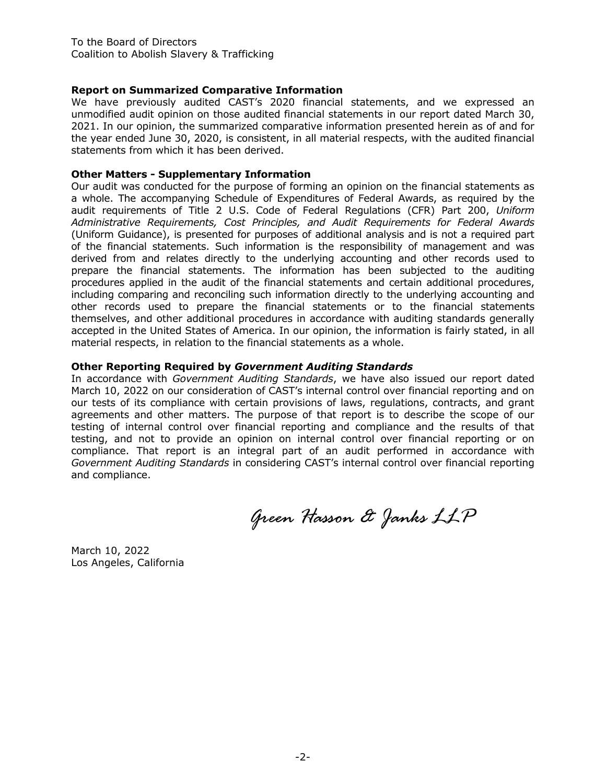#### **Report on Summarized Comparative Information**

We have previously audited CAST's 2020 financial statements, and we expressed an unmodified audit opinion on those audited financial statements in our report dated March 30, 2021. In our opinion, the summarized comparative information presented herein as of and for the year ended June 30, 2020, is consistent, in all material respects, with the audited financial statements from which it has been derived.

#### **Other Matters - Supplementary Information**

Our audit was conducted for the purpose of forming an opinion on the financial statements as a whole. The accompanying Schedule of Expenditures of Federal Awards, as required by the audit requirements of Title 2 U.S. Code of Federal Regulations (CFR) Part 200, *Uniform Administrative Requirements, Cost Principles, and Audit Requirements for Federal Awards* (Uniform Guidance), is presented for purposes of additional analysis and is not a required part of the financial statements. Such information is the responsibility of management and was derived from and relates directly to the underlying accounting and other records used to prepare the financial statements. The information has been subjected to the auditing procedures applied in the audit of the financial statements and certain additional procedures, including comparing and reconciling such information directly to the underlying accounting and other records used to prepare the financial statements or to the financial statements themselves, and other additional procedures in accordance with auditing standards generally accepted in the United States of America. In our opinion, the information is fairly stated, in all material respects, in relation to the financial statements as a whole.

#### **Other Reporting Required by** *Government Auditing Standards*

In accordance with *Government Auditing Standards*, we have also issued our report dated March 10, 2022 on our consideration of CAST's internal control over financial reporting and on our tests of its compliance with certain provisions of laws, regulations, contracts, and grant agreements and other matters. The purpose of that report is to describe the scope of our testing of internal control over financial reporting and compliance and the results of that testing, and not to provide an opinion on internal control over financial reporting or on compliance. That report is an integral part of an audit performed in accordance with *Government Auditing Standards* in considering CAST's internal control over financial reporting and compliance.

*Green Hasson & Janks LLP* 

March 10, 2022 Los Angeles, California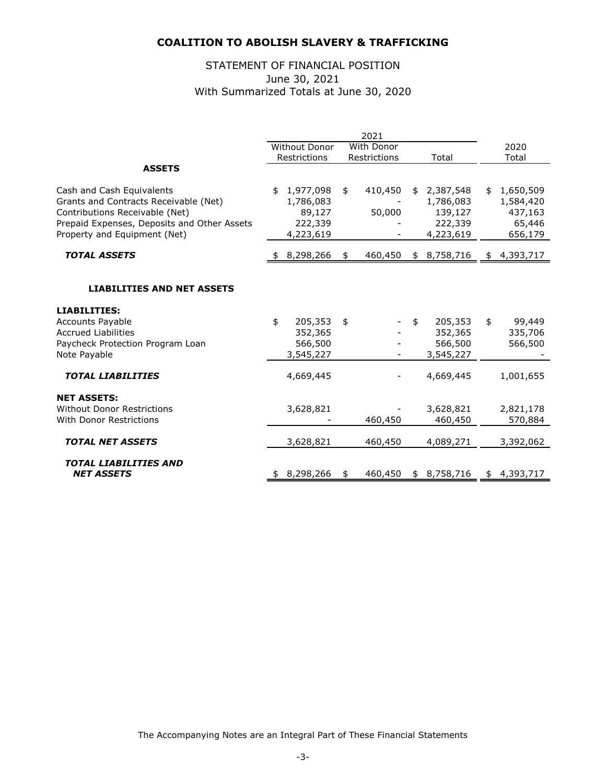#### STATEMENT OF FINANCIAL POSITION June 30, 2021 With Summarized Totals at June 30, 2020

|                                             | <b>With Donor</b><br>Without Donor |              |    |              |    | 2020        |                 |
|---------------------------------------------|------------------------------------|--------------|----|--------------|----|-------------|-----------------|
|                                             |                                    | Restrictions |    | Restrictions |    | Total       | Total           |
| <b>ASSETS</b>                               |                                    |              |    |              |    |             |                 |
| Cash and Cash Equivalents                   | \$                                 | 1,977,098    | \$ | 410,450      | \$ | 2,387,548   | \$<br>1,650,509 |
| Grants and Contracts Receivable (Net)       |                                    | 1,786,083    |    |              |    | 1,786,083   | 1,584,420       |
| Contributions Receivable (Net)              |                                    | 89,127       |    | 50,000       |    | 139,127     | 437,163         |
| Prepaid Expenses, Deposits and Other Assets |                                    | 222,339      |    |              |    | 222,339     | 65,446          |
| Property and Equipment (Net)                |                                    | 4,223,619    |    |              |    | 4,223,619   | 656,179         |
| <b>TOTAL ASSETS</b>                         |                                    | 8,298,266    | \$ | 460,450      |    | \$8,758,716 | \$4,393,717     |
|                                             |                                    |              |    |              |    |             |                 |
| <b>LIABILITIES AND NET ASSETS</b>           |                                    |              |    |              |    |             |                 |
| <b>LIABILITIES:</b>                         |                                    |              |    |              |    |             |                 |
| <b>Accounts Payable</b>                     | \$                                 | 205,353      | \$ |              | \$ | 205,353     | \$<br>99,449    |
| <b>Accrued Liabilities</b>                  |                                    | 352,365      |    |              |    | 352,365     | 335,706         |
| Paycheck Protection Program Loan            |                                    | 566,500      |    |              |    | 566,500     | 566,500         |
| Note Payable                                |                                    | 3,545,227    |    |              |    | 3,545,227   |                 |
| <b>TOTAL LIABILITIES</b>                    |                                    | 4,669,445    |    |              |    | 4,669,445   | 1,001,655       |
| <b>NET ASSETS:</b>                          |                                    |              |    |              |    |             |                 |
| <b>Without Donor Restrictions</b>           |                                    | 3,628,821    |    |              |    | 3,628,821   | 2,821,178       |
| With Donor Restrictions                     |                                    |              |    | 460,450      |    | 460,450     | 570,884         |
| <b>TOTAL NET ASSETS</b>                     |                                    | 3,628,821    |    | 460,450      |    | 4,089,271   | 3,392,062       |
| TOTAL LIABILITIES AND                       |                                    |              |    |              |    |             |                 |
| <b>NET ASSETS</b>                           |                                    | 8,298,266    | \$ | 460,450      |    | \$8,758,716 | \$4,393,717     |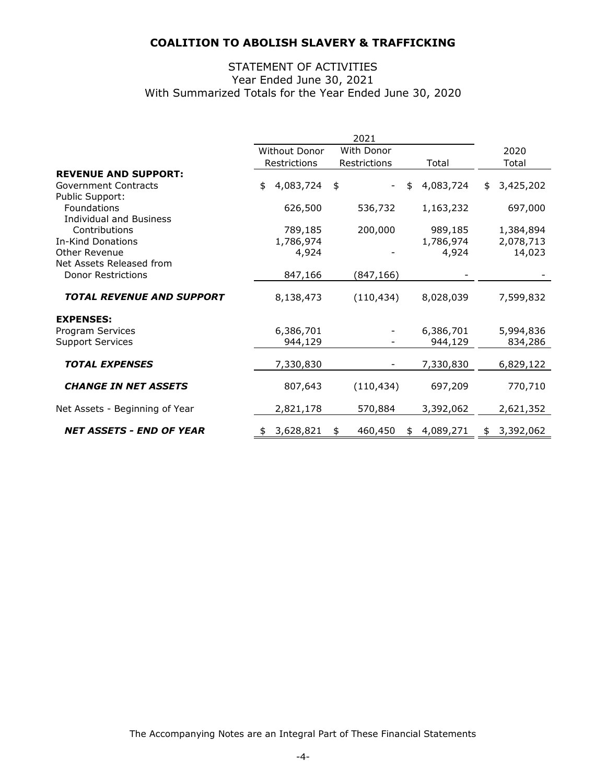### STATEMENT OF ACTIVITIES Year Ended June 30, 2021 With Summarized Totals for the Year Ended June 30, 2020

|                                  | Without Donor   | 2020          |                 |                 |
|----------------------------------|-----------------|---------------|-----------------|-----------------|
|                                  | Restrictions    | Restrictions  | Total           | Total           |
| <b>REVENUE AND SUPPORT:</b>      |                 |               |                 |                 |
| <b>Government Contracts</b>      | 4,083,724<br>\$ | -\$           | 4,083,724<br>\$ | 3,425,202<br>\$ |
| Public Support:                  |                 |               |                 |                 |
| Foundations                      | 626,500         | 536,732       | 1,163,232       | 697,000         |
| <b>Individual and Business</b>   |                 |               |                 |                 |
| Contributions                    | 789,185         | 200,000       | 989,185         | 1,384,894       |
| <b>In-Kind Donations</b>         | 1,786,974       |               | 1,786,974       | 2,078,713       |
| Other Revenue                    | 4,924           |               | 4,924           | 14,023          |
| Net Assets Released from         |                 |               |                 |                 |
| <b>Donor Restrictions</b>        | 847,166         | (847,166)     |                 |                 |
| <b>TOTAL REVENUE AND SUPPORT</b> | 8,138,473       | (110, 434)    | 8,028,039       | 7,599,832       |
| <b>EXPENSES:</b>                 |                 |               |                 |                 |
| Program Services                 | 6,386,701       |               | 6,386,701       | 5,994,836       |
| <b>Support Services</b>          | 944,129         |               | 944,129         | 834,286         |
|                                  |                 |               |                 |                 |
| <b>TOTAL EXPENSES</b>            | 7,330,830       |               | 7,330,830       | 6,829,122       |
| <b>CHANGE IN NET ASSETS</b>      | 807,643         | (110, 434)    | 697,209         | 770,710         |
| Net Assets - Beginning of Year   | 2,821,178       | 570,884       | 3,392,062       | 2,621,352       |
| <b>NET ASSETS - END OF YEAR</b>  | 3,628,821<br>\$ | 460,450<br>\$ | 4,089,271<br>\$ | 3,392,062<br>\$ |

#### The Accompanying Notes are an Integral Part of These Financial Statements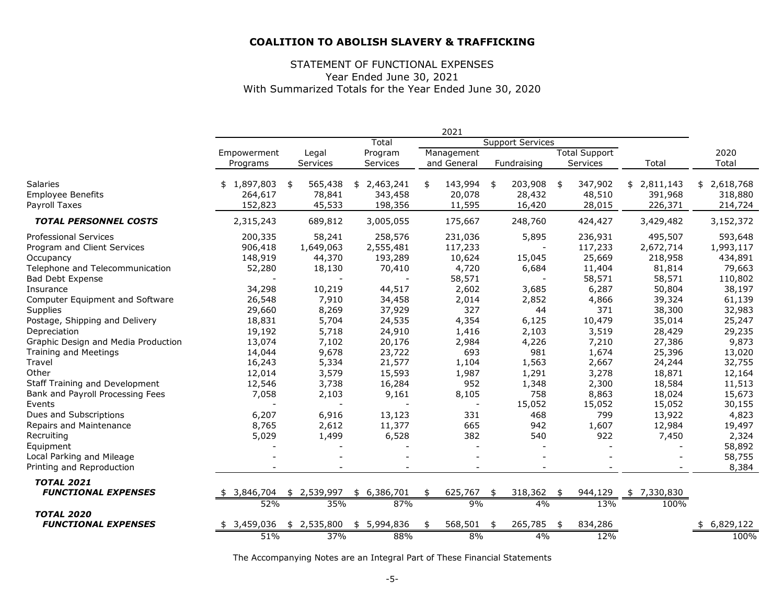#### STATEMENT OF FUNCTIONAL EXPENSESYear Ended June 30, 2021 With Summarized Totals for the Year Ended June 30, 2020

|                                     |             |                 |                 | 2021          |     |                         |                      |                 |             |
|-------------------------------------|-------------|-----------------|-----------------|---------------|-----|-------------------------|----------------------|-----------------|-------------|
|                                     |             |                 | Total           |               |     | <b>Support Services</b> |                      |                 |             |
|                                     | Empowerment | Legal           | Program         | Management    |     |                         | <b>Total Support</b> |                 | 2020        |
|                                     | Programs    | Services        | Services        | and General   |     | Fundraising             | Services             | Total           | Total       |
| <b>Salaries</b>                     | 1,897,803   | 565,438<br>\$   | 2,463,241<br>\$ | 143,994<br>\$ | \$  | 203,908                 | 347,902<br>\$        | 2,811,143<br>\$ | \$2,618,768 |
| <b>Employee Benefits</b>            | 264,617     | 78,841          | 343,458         | 20,078        |     | 28,432                  | 48,510               | 391,968         | 318,880     |
| Payroll Taxes                       | 152,823     | 45,533          | 198,356         | 11,595        |     | 16,420                  | 28,015               | 226,371         | 214,724     |
| <b>TOTAL PERSONNEL COSTS</b>        | 2,315,243   | 689,812         | 3,005,055       | 175,667       |     | 248,760                 | 424,427              | 3,429,482       | 3,152,372   |
| <b>Professional Services</b>        | 200,335     | 58,241          | 258,576         | 231,036       |     | 5,895                   | 236,931              | 495,507         | 593,648     |
| Program and Client Services         | 906,418     | 1,649,063       | 2,555,481       | 117,233       |     |                         | 117,233              | 2,672,714       | 1,993,117   |
| Occupancy                           | 148,919     | 44,370          | 193,289         | 10,624        |     | 15,045                  | 25,669               | 218,958         | 434,891     |
| Telephone and Telecommunication     | 52,280      | 18,130          | 70,410          | 4,720         |     | 6,684                   | 11,404               | 81,814          | 79,663      |
| <b>Bad Debt Expense</b>             |             |                 |                 | 58,571        |     |                         | 58,571               | 58,571          | 110,802     |
| Insurance                           | 34,298      | 10,219          | 44,517          | 2,602         |     | 3,685                   | 6,287                | 50,804          | 38,197      |
| Computer Equipment and Software     | 26,548      | 7,910           | 34,458          | 2,014         |     | 2,852                   | 4,866                | 39,324          | 61,139      |
| Supplies                            | 29,660      | 8,269           | 37,929          |               | 327 | 44                      | 371                  | 38,300          | 32,983      |
| Postage, Shipping and Delivery      | 18,831      | 5,704           | 24,535          | 4,354         |     | 6,125                   | 10,479               | 35,014          | 25,247      |
| Depreciation                        | 19,192      | 5,718           | 24,910          | 1,416         |     | 2,103                   | 3,519                | 28,429          | 29,235      |
| Graphic Design and Media Production | 13,074      | 7,102           | 20,176          | 2,984         |     | 4,226                   | 7,210                | 27,386          | 9,873       |
| <b>Training and Meetings</b>        | 14,044      | 9,678           | 23,722          |               | 693 | 981                     | 1,674                | 25,396          | 13,020      |
| Travel                              | 16,243      | 5,334           | 21,577          | 1,104         |     | 1,563                   | 2,667                | 24,244          | 32,755      |
| Other                               | 12,014      | 3,579           | 15,593          | 1,987         |     | 1,291                   | 3,278                | 18,871          | 12,164      |
| Staff Training and Development      | 12,546      | 3,738           | 16,284          |               | 952 | 1,348                   | 2,300                | 18,584          | 11,513      |
| Bank and Payroll Processing Fees    | 7,058       | 2,103           | 9,161           | 8,105         |     | 758                     | 8,863                | 18,024          | 15,673      |
| Events                              |             |                 |                 |               |     | 15,052                  | 15,052               | 15,052          | 30,155      |
| Dues and Subscriptions              | 6,207       | 6,916           | 13,123          |               | 331 | 468                     | 799                  | 13,922          | 4,823       |
| Repairs and Maintenance             | 8,765       | 2,612           | 11,377          |               | 665 | 942                     | 1,607                | 12,984          | 19,497      |
| Recruiting                          | 5,029       | 1,499           | 6,528           |               | 382 | 540                     | 922                  | 7,450           | 2,324       |
| Equipment                           |             |                 |                 |               |     |                         |                      |                 | 58,892      |
| Local Parking and Mileage           |             |                 |                 |               |     |                         |                      |                 | 58,755      |
| Printing and Reproduction           |             |                 |                 |               |     |                         |                      |                 | 8,384       |
| <b>TOTAL 2021</b>                   |             |                 |                 |               |     |                         |                      |                 |             |
| <b>FUNCTIONAL EXPENSES</b>          | 3,846,704   | 2,539,997<br>\$ | 6,386,701<br>\$ | 625,767<br>\$ | \$  | 318,362                 | 944,129<br>\$        | \$7,330,830     |             |
|                                     | 52%         | 35%             | 87%             |               | 9%  | 4%                      | 13%                  | 100%            |             |
| <b>TOTAL 2020</b>                   |             |                 |                 |               |     |                         |                      |                 |             |
| <b>FUNCTIONAL EXPENSES</b>          | 3,459,036   | 2,535,800<br>\$ | 5,994,836<br>\$ | 568,501<br>\$ | \$  | 265,785                 | 834,286<br>\$        |                 | 6,829,122   |
|                                     | 51%         | 37%             | 88%             |               | 8%  | 4%                      | 12%                  |                 | 100%        |

The Accompanying Notes are an Integral Part of These Financial Statements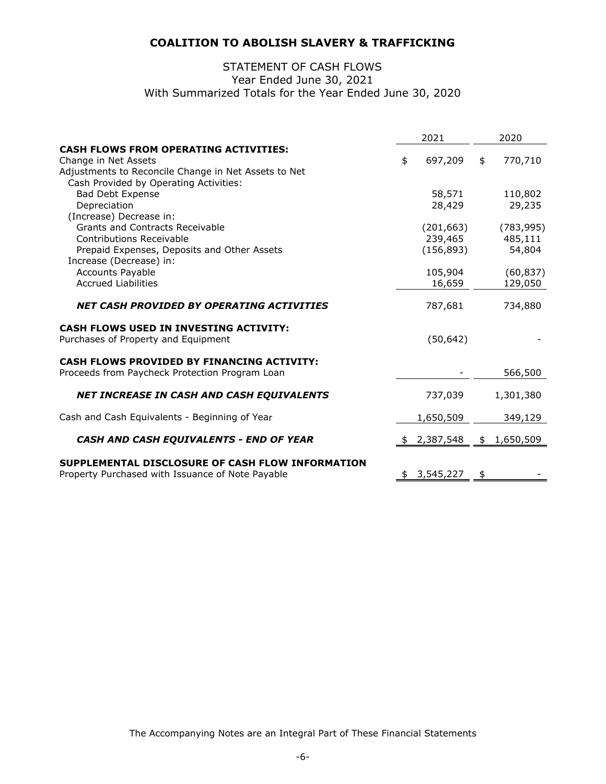### STATEMENT OF CASH FLOWS Year Ended June 30, 2021 With Summarized Totals for the Year Ended June 30, 2020

|                                                      | 2021 |                        | 2020          |
|------------------------------------------------------|------|------------------------|---------------|
| <b>CASH FLOWS FROM OPERATING ACTIVITIES:</b>         |      |                        |               |
| Change in Net Assets                                 | \$   | 697,209                | \$<br>770,710 |
| Adjustments to Reconcile Change in Net Assets to Net |      |                        |               |
| Cash Provided by Operating Activities:               |      |                        |               |
| <b>Bad Debt Expense</b>                              |      | 58,571                 | 110,802       |
| Depreciation                                         |      | 28,429                 | 29,235        |
| (Increase) Decrease in:                              |      |                        |               |
| <b>Grants and Contracts Receivable</b>               |      | (201, 663)             | (783, 995)    |
| Contributions Receivable                             |      | 239,465                | 485,111       |
| Prepaid Expenses, Deposits and Other Assets          |      | (156, 893)             | 54,804        |
| Increase (Decrease) in:                              |      |                        |               |
| Accounts Payable                                     |      | 105,904                | (60, 837)     |
| <b>Accrued Liabilities</b>                           |      | 16,659                 | 129,050       |
| <b>NET CASH PROVIDED BY OPERATING ACTIVITIES</b>     |      | 787,681                | 734,880       |
|                                                      |      |                        |               |
| CASH FLOWS USED IN INVESTING ACTIVITY:               |      |                        |               |
| Purchases of Property and Equipment                  |      | (50, 642)              |               |
|                                                      |      |                        |               |
| CASH FLOWS PROVIDED BY FINANCING ACTIVITY:           |      |                        |               |
| Proceeds from Paycheck Protection Program Loan       |      |                        | 566,500       |
| NET INCREASE IN CASH AND CASH EQUIVALENTS            |      | 737,039                | 1,301,380     |
|                                                      |      |                        |               |
| Cash and Cash Equivalents - Beginning of Year        |      | 1,650,509              | 349,129       |
| CASH AND CASH EQUIVALENTS - END OF YEAR              |      | 2,387,548 \$ 1,650,509 |               |
|                                                      |      |                        |               |
| SUPPLEMENTAL DISCLOSURE OF CASH FLOW INFORMATION     |      |                        |               |
| Property Purchased with Issuance of Note Payable     |      | 3,545,227              |               |
|                                                      |      |                        |               |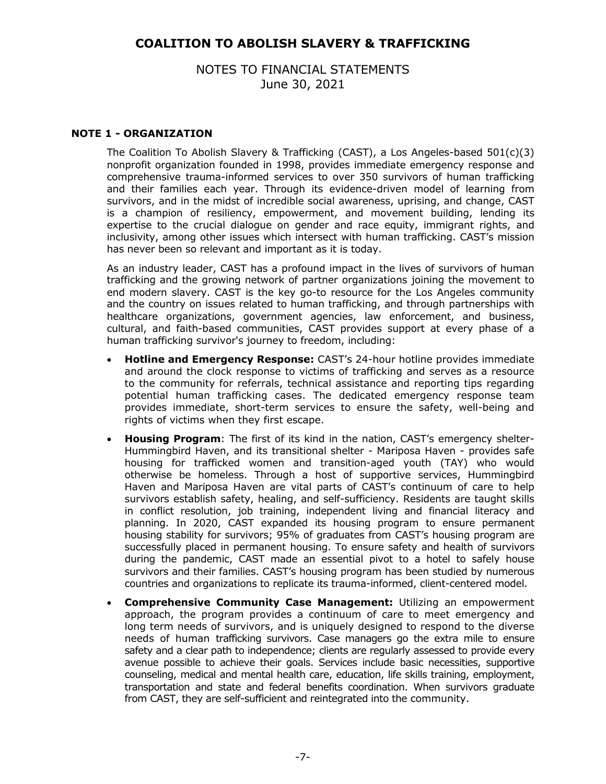### NOTES TO FINANCIAL STATEMENTS June 30, 2021

#### **NOTE 1 - ORGANIZATION**

The Coalition To Abolish Slavery & Trafficking (CAST), a Los Angeles-based 501(c)(3) nonprofit organization founded in 1998, provides immediate emergency response and comprehensive trauma-informed services to over 350 survivors of human trafficking and their families each year. Through its evidence-driven model of learning from survivors, and in the midst of incredible social awareness, uprising, and change, CAST is a champion of resiliency, empowerment, and movement building, lending its expertise to the crucial dialogue on gender and race equity, immigrant rights, and inclusivity, among other issues which intersect with human trafficking. CAST's mission has never been so relevant and important as it is today.

As an industry leader, CAST has a profound impact in the lives of survivors of human trafficking and the growing network of partner organizations joining the movement to end modern slavery. CAST is the key go-to resource for the Los Angeles community and the country on issues related to human trafficking, and through partnerships with healthcare organizations, government agencies, law enforcement, and business, cultural, and faith-based communities, CAST provides support at every phase of a human trafficking survivor's journey to freedom, including:

- **Hotline and Emergency Response:** CAST's 24-hour hotline provides immediate and around the clock response to victims of trafficking and serves as a resource to the community for referrals, technical assistance and reporting tips regarding potential human trafficking cases. The dedicated emergency response team provides immediate, short-term services to ensure the safety, well-being and rights of victims when they first escape.
- **Housing Program**: The first of its kind in the nation, CAST's emergency shelter-Hummingbird Haven, and its transitional shelter - Mariposa Haven - provides safe housing for trafficked women and transition-aged youth (TAY) who would otherwise be homeless. Through a host of supportive services, Hummingbird Haven and Mariposa Haven are vital parts of CAST's continuum of care to help survivors establish safety, healing, and self-sufficiency. Residents are taught skills in conflict resolution, job training, independent living and financial literacy and planning. In 2020, CAST expanded its housing program to ensure permanent housing stability for survivors; 95% of graduates from CAST's housing program are successfully placed in permanent housing. To ensure safety and health of survivors during the pandemic, CAST made an essential pivot to a hotel to safely house survivors and their families. CAST's housing program has been studied by numerous countries and organizations to replicate its trauma-informed, client-centered model.
- **Comprehensive Community Case Management:** Utilizing an empowerment approach, the program provides a continuum of care to meet emergency and long term needs of survivors, and is uniquely designed to respond to the diverse needs of human trafficking survivors. Case managers go the extra mile to ensure safety and a clear path to independence; clients are regularly assessed to provide every avenue possible to achieve their goals. Services include basic necessities, supportive counseling, medical and mental health care, education, life skills training, employment, transportation and state and federal benefits coordination. When survivors graduate from CAST, they are self-sufficient and reintegrated into the community.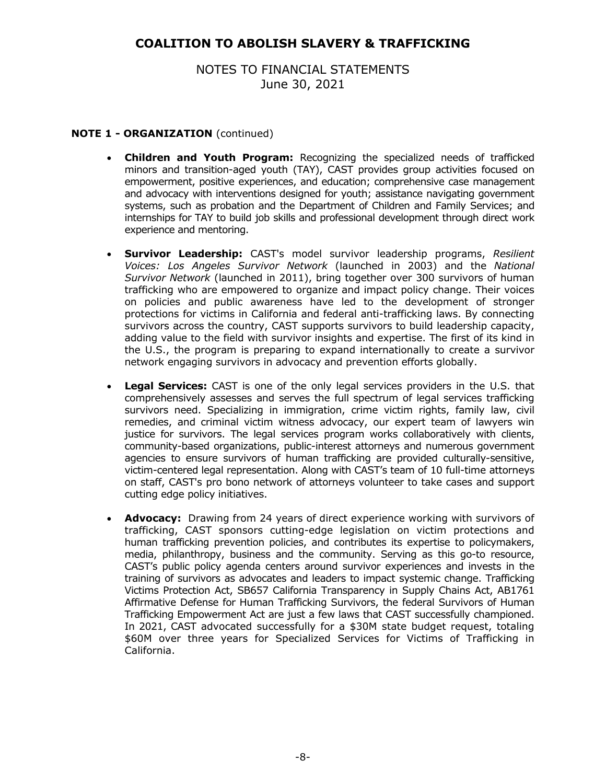### NOTES TO FINANCIAL STATEMENTS June 30, 2021

### **NOTE 1 - ORGANIZATION** (continued)

- **Children and Youth Program:** Recognizing the specialized needs of trafficked minors and transition-aged youth (TAY), CAST provides group activities focused on empowerment, positive experiences, and education; comprehensive case management and advocacy with interventions designed for youth; assistance navigating government systems, such as probation and the Department of Children and Family Services; and internships for TAY to build job skills and professional development through direct work experience and mentoring.
- **Survivor Leadership:** CAST's model survivor leadership programs, *Resilient Voices: Los Angeles Survivor Network* (launched in 2003) and the *National Survivor Network* (launched in 2011), bring together over 300 survivors of human trafficking who are empowered to organize and impact policy change. Their voices on policies and public awareness have led to the development of stronger protections for victims in California and federal anti-trafficking laws. By connecting survivors across the country, CAST supports survivors to build leadership capacity, adding value to the field with survivor insights and expertise. The first of its kind in the U.S., the program is preparing to expand internationally to create a survivor network engaging survivors in advocacy and prevention efforts globally.
- **Legal Services:** CAST is one of the only legal services providers in the U.S. that comprehensively assesses and serves the full spectrum of legal services trafficking survivors need. Specializing in immigration, crime victim rights, family law, civil remedies, and criminal victim witness advocacy, our expert team of lawyers win justice for survivors. The legal services program works collaboratively with clients, community-based organizations, public-interest attorneys and numerous government agencies to ensure survivors of human trafficking are provided culturally-sensitive, victim-centered legal representation. Along with CAST's team of 10 full-time attorneys on staff, CAST's pro bono network of attorneys volunteer to take cases and support cutting edge policy initiatives.
- **Advocacy:** Drawing from 24 years of direct experience working with survivors of trafficking, CAST sponsors cutting-edge legislation on victim protections and human trafficking prevention policies, and contributes its expertise to policymakers, media, philanthropy, business and the community. Serving as this go-to resource, CAST's public policy agenda centers around survivor experiences and invests in the training of survivors as advocates and leaders to impact systemic change. Trafficking Victims Protection Act, SB657 California Transparency in Supply Chains Act, AB1761 Affirmative Defense for Human Trafficking Survivors, the federal Survivors of Human Trafficking Empowerment Act are just a few laws that CAST successfully championed. In 2021, CAST advocated successfully for a \$30M state budget request, totaling \$60M over three years for Specialized Services for Victims of Trafficking in California.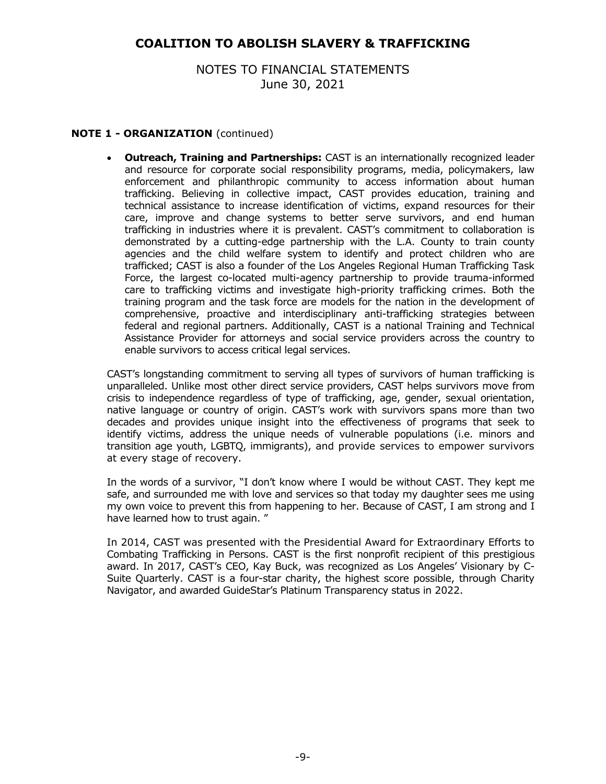### NOTES TO FINANCIAL STATEMENTS June 30, 2021

### **NOTE 1 - ORGANIZATION** (continued)

 **Outreach, Training and Partnerships:** CAST is an internationally recognized leader and resource for corporate social responsibility programs, media, policymakers, law enforcement and philanthropic community to access information about human trafficking. Believing in collective impact, CAST provides education, training and technical assistance to increase identification of victims, expand resources for their care, improve and change systems to better serve survivors, and end human trafficking in industries where it is prevalent. CAST's commitment to collaboration is demonstrated by a cutting-edge partnership with the L.A. County to train county agencies and the child welfare system to identify and protect children who are trafficked; CAST is also a founder of the Los Angeles Regional Human Trafficking Task Force, the largest co-located multi-agency partnership to provide trauma-informed care to trafficking victims and investigate high-priority trafficking crimes. Both the training program and the task force are models for the nation in the development of comprehensive, proactive and interdisciplinary anti-trafficking strategies between federal and regional partners. Additionally, CAST is a national Training and Technical Assistance Provider for attorneys and social service providers across the country to enable survivors to access critical legal services.

CAST's longstanding commitment to serving all types of survivors of human trafficking is unparalleled. Unlike most other direct service providers, CAST helps survivors move from crisis to independence regardless of type of trafficking, age, gender, sexual orientation, native language or country of origin. CAST's work with survivors spans more than two decades and provides unique insight into the effectiveness of programs that seek to identify victims, address the unique needs of vulnerable populations (i.e. minors and transition age youth, LGBTQ, immigrants), and provide services to empower survivors at every stage of recovery.

In the words of a survivor, "I don't know where I would be without CAST. They kept me safe, and surrounded me with love and services so that today my daughter sees me using my own voice to prevent this from happening to her. Because of CAST, I am strong and I have learned how to trust again. "

In 2014, CAST was presented with the Presidential Award for Extraordinary Efforts to Combating Trafficking in Persons. CAST is the first nonprofit recipient of this prestigious award. In 2017, CAST's CEO, Kay Buck, was recognized as Los Angeles' Visionary by C-Suite Quarterly. CAST is a four-star charity, the highest score possible, through Charity Navigator, and awarded GuideStar's Platinum Transparency status in 2022.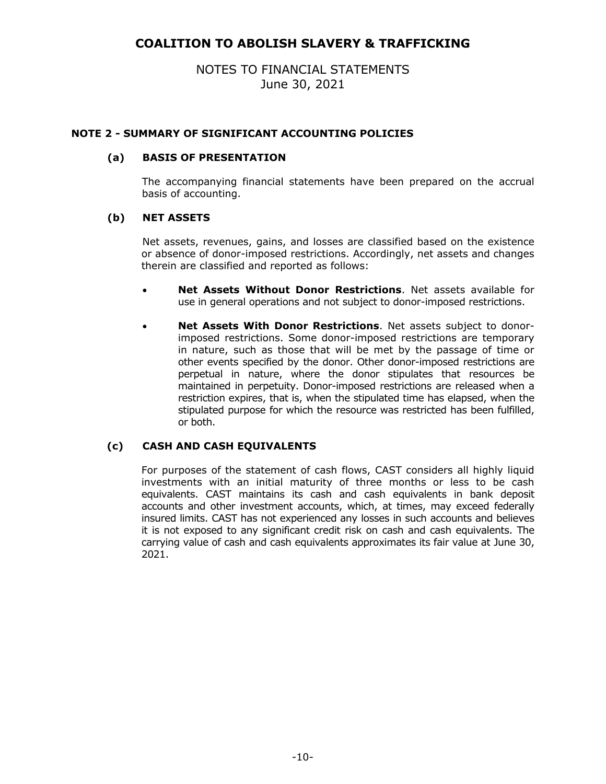NOTES TO FINANCIAL STATEMENTS June 30, 2021

#### **NOTE 2 - SUMMARY OF SIGNIFICANT ACCOUNTING POLICIES**

#### **(a) BASIS OF PRESENTATION**

 The accompanying financial statements have been prepared on the accrual basis of accounting.

#### **(b) NET ASSETS**

Net assets, revenues, gains, and losses are classified based on the existence or absence of donor-imposed restrictions. Accordingly, net assets and changes therein are classified and reported as follows:

- **Net Assets Without Donor Restrictions**. Net assets available for use in general operations and not subject to donor-imposed restrictions.
- **Net Assets With Donor Restrictions**. Net assets subject to donorimposed restrictions. Some donor-imposed restrictions are temporary in nature, such as those that will be met by the passage of time or other events specified by the donor. Other donor-imposed restrictions are perpetual in nature, where the donor stipulates that resources be maintained in perpetuity. Donor-imposed restrictions are released when a restriction expires, that is, when the stipulated time has elapsed, when the stipulated purpose for which the resource was restricted has been fulfilled, or both.

### **(c) CASH AND CASH EQUIVALENTS**

For purposes of the statement of cash flows, CAST considers all highly liquid investments with an initial maturity of three months or less to be cash equivalents. CAST maintains its cash and cash equivalents in bank deposit accounts and other investment accounts, which, at times, may exceed federally insured limits. CAST has not experienced any losses in such accounts and believes it is not exposed to any significant credit risk on cash and cash equivalents. The carrying value of cash and cash equivalents approximates its fair value at June 30, 2021.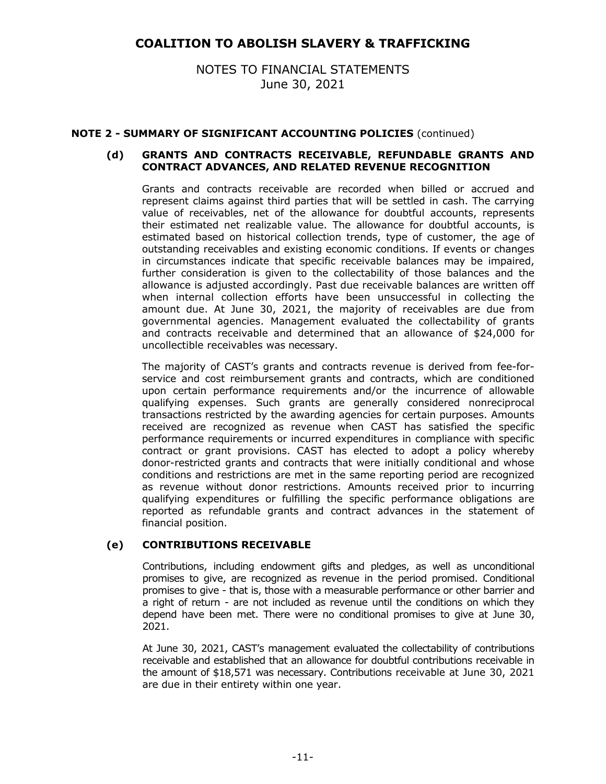NOTES TO FINANCIAL STATEMENTS June 30, 2021

#### **NOTE 2 - SUMMARY OF SIGNIFICANT ACCOUNTING POLICIES** (continued)

#### **(d) GRANTS AND CONTRACTS RECEIVABLE, REFUNDABLE GRANTS AND CONTRACT ADVANCES, AND RELATED REVENUE RECOGNITION**

Grants and contracts receivable are recorded when billed or accrued and represent claims against third parties that will be settled in cash. The carrying value of receivables, net of the allowance for doubtful accounts, represents their estimated net realizable value. The allowance for doubtful accounts, is estimated based on historical collection trends, type of customer, the age of outstanding receivables and existing economic conditions. If events or changes in circumstances indicate that specific receivable balances may be impaired, further consideration is given to the collectability of those balances and the allowance is adjusted accordingly. Past due receivable balances are written off when internal collection efforts have been unsuccessful in collecting the amount due. At June 30, 2021, the majority of receivables are due from governmental agencies. Management evaluated the collectability of grants and contracts receivable and determined that an allowance of \$24,000 for uncollectible receivables was necessary.

The majority of CAST's grants and contracts revenue is derived from fee-forservice and cost reimbursement grants and contracts, which are conditioned upon certain performance requirements and/or the incurrence of allowable qualifying expenses. Such grants are generally considered nonreciprocal transactions restricted by the awarding agencies for certain purposes. Amounts received are recognized as revenue when CAST has satisfied the specific performance requirements or incurred expenditures in compliance with specific contract or grant provisions. CAST has elected to adopt a policy whereby donor-restricted grants and contracts that were initially conditional and whose conditions and restrictions are met in the same reporting period are recognized as revenue without donor restrictions. Amounts received prior to incurring qualifying expenditures or fulfilling the specific performance obligations are reported as refundable grants and contract advances in the statement of financial position.

#### **(e) CONTRIBUTIONS RECEIVABLE**

Contributions, including endowment gifts and pledges, as well as unconditional promises to give, are recognized as revenue in the period promised. Conditional promises to give - that is, those with a measurable performance or other barrier and a right of return - are not included as revenue until the conditions on which they depend have been met. There were no conditional promises to give at June 30, 2021.

At June 30, 2021, CAST's management evaluated the collectability of contributions receivable and established that an allowance for doubtful contributions receivable in the amount of \$18,571 was necessary. Contributions receivable at June 30, 2021 are due in their entirety within one year.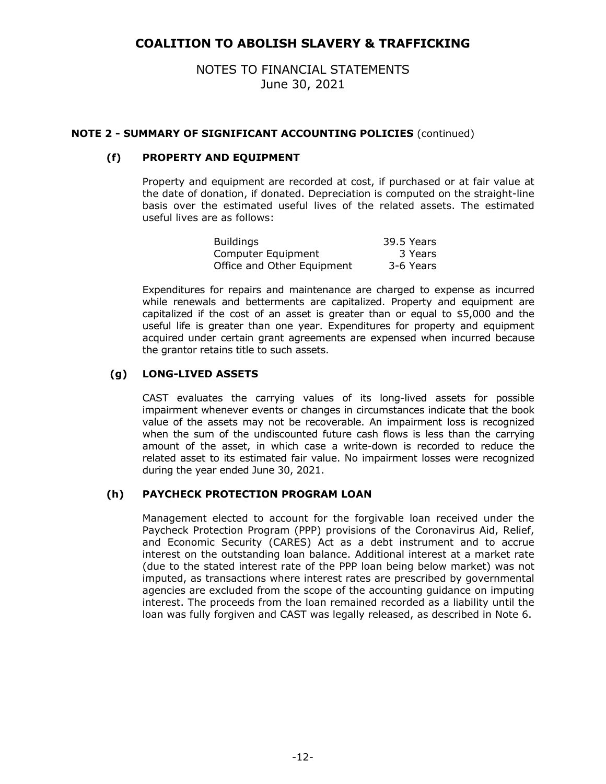NOTES TO FINANCIAL STATEMENTS June 30, 2021

#### **NOTE 2 - SUMMARY OF SIGNIFICANT ACCOUNTING POLICIES** (continued)

#### **(f) PROPERTY AND EQUIPMENT**

Property and equipment are recorded at cost, if purchased or at fair value at the date of donation, if donated. Depreciation is computed on the straight-line basis over the estimated useful lives of the related assets. The estimated useful lives are as follows:

| <b>Buildings</b>           | 39.5 Years |
|----------------------------|------------|
| Computer Equipment         | 3 Years    |
| Office and Other Equipment | 3-6 Years  |

Expenditures for repairs and maintenance are charged to expense as incurred while renewals and betterments are capitalized. Property and equipment are capitalized if the cost of an asset is greater than or equal to \$5,000 and the useful life is greater than one year. Expenditures for property and equipment acquired under certain grant agreements are expensed when incurred because the grantor retains title to such assets.

### **(g) LONG-LIVED ASSETS**

CAST evaluates the carrying values of its long-lived assets for possible impairment whenever events or changes in circumstances indicate that the book value of the assets may not be recoverable. An impairment loss is recognized when the sum of the undiscounted future cash flows is less than the carrying amount of the asset, in which case a write-down is recorded to reduce the related asset to its estimated fair value. No impairment losses were recognized during the year ended June 30, 2021.

#### **(h) PAYCHECK PROTECTION PROGRAM LOAN**

Management elected to account for the forgivable loan received under the Paycheck Protection Program (PPP) provisions of the Coronavirus Aid, Relief, and Economic Security (CARES) Act as a debt instrument and to accrue interest on the outstanding loan balance. Additional interest at a market rate (due to the stated interest rate of the PPP loan being below market) was not imputed, as transactions where interest rates are prescribed by governmental agencies are excluded from the scope of the accounting guidance on imputing interest. The proceeds from the loan remained recorded as a liability until the loan was fully forgiven and CAST was legally released, as described in Note 6.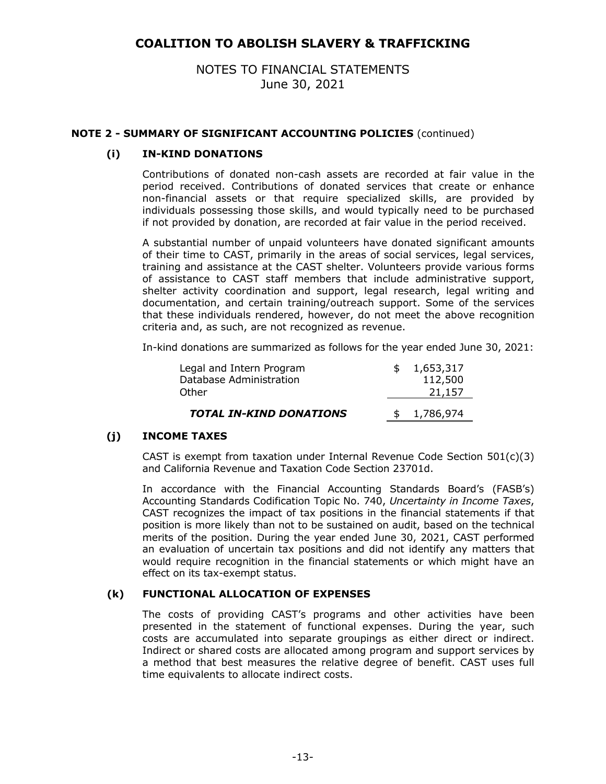### NOTES TO FINANCIAL STATEMENTS June 30, 2021

#### **NOTE 2 - SUMMARY OF SIGNIFICANT ACCOUNTING POLICIES** (continued)

#### **(i) IN-KIND DONATIONS**

Contributions of donated non-cash assets are recorded at fair value in the period received. Contributions of donated services that create or enhance non-financial assets or that require specialized skills, are provided by individuals possessing those skills, and would typically need to be purchased if not provided by donation, are recorded at fair value in the period received.

A substantial number of unpaid volunteers have donated significant amounts of their time to CAST, primarily in the areas of social services, legal services, training and assistance at the CAST shelter. Volunteers provide various forms of assistance to CAST staff members that include administrative support, shelter activity coordination and support, legal research, legal writing and documentation, and certain training/outreach support. Some of the services that these individuals rendered, however, do not meet the above recognition criteria and, as such, are not recognized as revenue.

In-kind donations are summarized as follows for the year ended June 30, 2021:

| Legal and Intern Program       | 1,653,317 |
|--------------------------------|-----------|
| Database Administration        | 112,500   |
| Other                          | 21,157    |
| <b>TOTAL IN-KIND DONATIONS</b> | 1,786,974 |

#### **(j) INCOME TAXES**

CAST is exempt from taxation under Internal Revenue Code Section  $501(c)(3)$ and California Revenue and Taxation Code Section 23701d.

In accordance with the Financial Accounting Standards Board's (FASB's) Accounting Standards Codification Topic No. 740, *Uncertainty in Income Taxes*, CAST recognizes the impact of tax positions in the financial statements if that position is more likely than not to be sustained on audit, based on the technical merits of the position. During the year ended June 30, 2021, CAST performed an evaluation of uncertain tax positions and did not identify any matters that would require recognition in the financial statements or which might have an effect on its tax-exempt status.

#### **(k) FUNCTIONAL ALLOCATION OF EXPENSES**

The costs of providing CAST's programs and other activities have been presented in the statement of functional expenses. During the year, such costs are accumulated into separate groupings as either direct or indirect. Indirect or shared costs are allocated among program and support services by a method that best measures the relative degree of benefit. CAST uses full time equivalents to allocate indirect costs.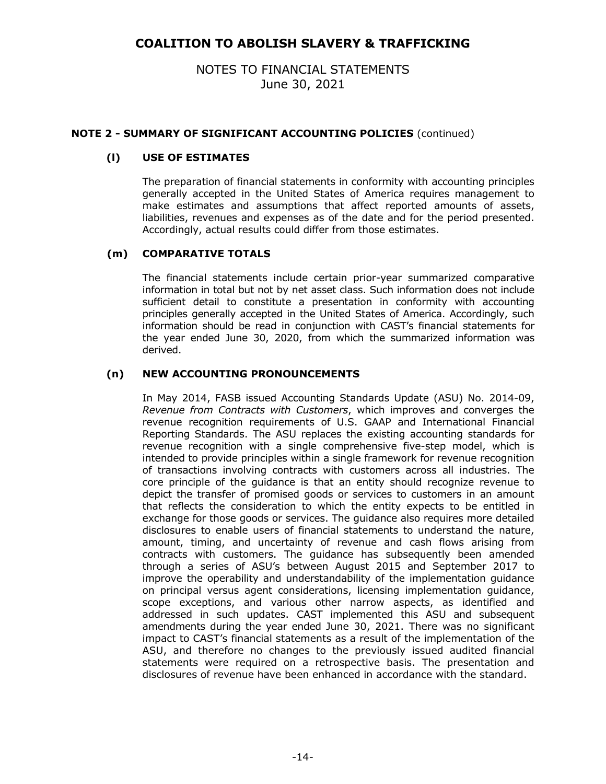NOTES TO FINANCIAL STATEMENTS June 30, 2021

#### **NOTE 2 - SUMMARY OF SIGNIFICANT ACCOUNTING POLICIES** (continued)

#### **(l) USE OF ESTIMATES**

The preparation of financial statements in conformity with accounting principles generally accepted in the United States of America requires management to make estimates and assumptions that affect reported amounts of assets, liabilities, revenues and expenses as of the date and for the period presented. Accordingly, actual results could differ from those estimates.

#### **(m) COMPARATIVE TOTALS**

The financial statements include certain prior-year summarized comparative information in total but not by net asset class. Such information does not include sufficient detail to constitute a presentation in conformity with accounting principles generally accepted in the United States of America. Accordingly, such information should be read in conjunction with CAST's financial statements for the year ended June 30, 2020, from which the summarized information was derived.

#### **(n) NEW ACCOUNTING PRONOUNCEMENTS**

In May 2014, FASB issued Accounting Standards Update (ASU) No. 2014-09, *Revenue from Contracts with Customers*, which improves and converges the revenue recognition requirements of U.S. GAAP and International Financial Reporting Standards. The ASU replaces the existing accounting standards for revenue recognition with a single comprehensive five-step model, which is intended to provide principles within a single framework for revenue recognition of transactions involving contracts with customers across all industries. The core principle of the guidance is that an entity should recognize revenue to depict the transfer of promised goods or services to customers in an amount that reflects the consideration to which the entity expects to be entitled in exchange for those goods or services. The guidance also requires more detailed disclosures to enable users of financial statements to understand the nature, amount, timing, and uncertainty of revenue and cash flows arising from contracts with customers. The guidance has subsequently been amended through a series of ASU's between August 2015 and September 2017 to improve the operability and understandability of the implementation guidance on principal versus agent considerations, licensing implementation guidance, scope exceptions, and various other narrow aspects, as identified and addressed in such updates. CAST implemented this ASU and subsequent amendments during the year ended June 30, 2021. There was no significant impact to CAST's financial statements as a result of the implementation of the ASU, and therefore no changes to the previously issued audited financial statements were required on a retrospective basis. The presentation and disclosures of revenue have been enhanced in accordance with the standard.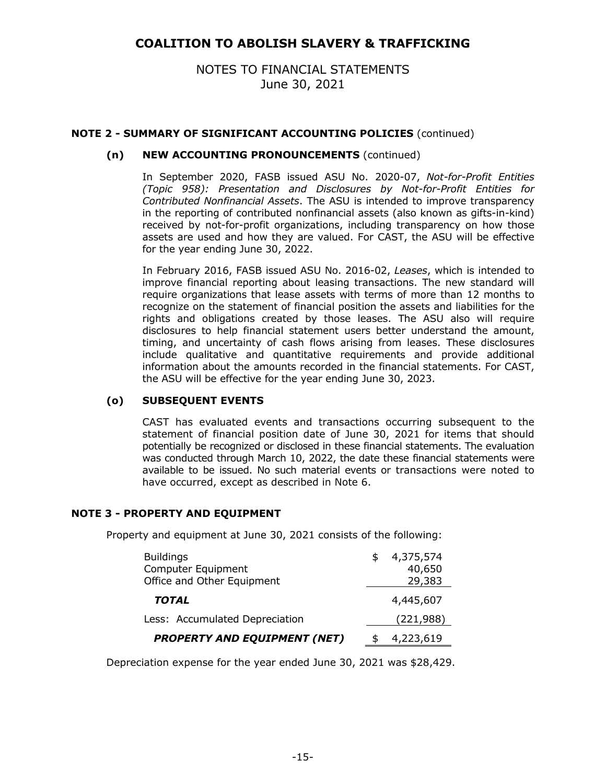NOTES TO FINANCIAL STATEMENTS June 30, 2021

#### **NOTE 2 - SUMMARY OF SIGNIFICANT ACCOUNTING POLICIES** (continued)

#### **(n) NEW ACCOUNTING PRONOUNCEMENTS** (continued)

In September 2020, FASB issued ASU No. 2020-07, *Not-for-Profit Entities (Topic 958): Presentation and Disclosures by Not-for-Profit Entities for Contributed Nonfinancial Assets*. The ASU is intended to improve transparency in the reporting of contributed nonfinancial assets (also known as gifts-in-kind) received by not-for-profit organizations, including transparency on how those assets are used and how they are valued. For CAST, the ASU will be effective for the year ending June 30, 2022.

In February 2016, FASB issued ASU No. 2016-02, *Leases*, which is intended to improve financial reporting about leasing transactions. The new standard will require organizations that lease assets with terms of more than 12 months to recognize on the statement of financial position the assets and liabilities for the rights and obligations created by those leases. The ASU also will require disclosures to help financial statement users better understand the amount, timing, and uncertainty of cash flows arising from leases. These disclosures include qualitative and quantitative requirements and provide additional information about the amounts recorded in the financial statements. For CAST, the ASU will be effective for the year ending June 30, 2023.

#### **(o) SUBSEQUENT EVENTS**

CAST has evaluated events and transactions occurring subsequent to the statement of financial position date of June 30, 2021 for items that should potentially be recognized or disclosed in these financial statements. The evaluation was conducted through March 10, 2022, the date these financial statements were available to be issued. No such material events or transactions were noted to have occurred, except as described in Note 6.

#### **NOTE 3 - PROPERTY AND EQUIPMENT**

Property and equipment at June 30, 2021 consists of the following:

| <b>Buildings</b><br>Computer Equipment<br>Office and Other Equipment | 4,375,574<br>40,650<br>29,383 |
|----------------------------------------------------------------------|-------------------------------|
| <i><b>TOTAL</b></i>                                                  | 4,445,607                     |
| Less: Accumulated Depreciation                                       | (221,988)                     |
| <b>PROPERTY AND EQUIPMENT (NET)</b>                                  | 4,223,619                     |

Depreciation expense for the year ended June 30, 2021 was \$28,429.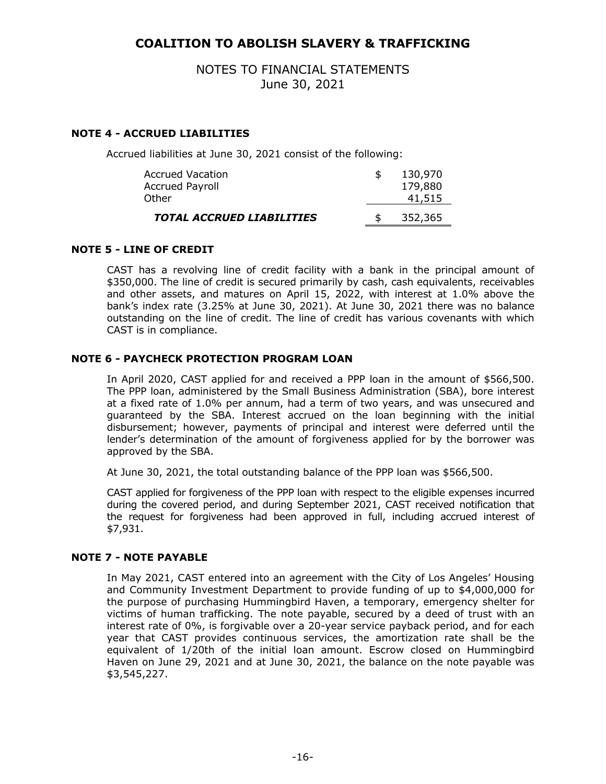NOTES TO FINANCIAL STATEMENTS June 30, 2021

#### **NOTE 4 - ACCRUED LIABILITIES**

Accrued liabilities at June 30, 2021 consist of the following:

| Accrued Vacation                 | 130,970 |
|----------------------------------|---------|
| <b>Accrued Payroll</b>           | 179,880 |
| Other                            | 41,515  |
| <b>TOTAL ACCRUED LIABILITIES</b> | 352,365 |

#### **NOTE 5 - LINE OF CREDIT**

CAST has a revolving line of credit facility with a bank in the principal amount of \$350,000. The line of credit is secured primarily by cash, cash equivalents, receivables and other assets, and matures on April 15, 2022, with interest at 1.0% above the bank's index rate (3.25% at June 30, 2021). At June 30, 2021 there was no balance outstanding on the line of credit. The line of credit has various covenants with which CAST is in compliance.

#### **NOTE 6 - PAYCHECK PROTECTION PROGRAM LOAN**

In April 2020, CAST applied for and received a PPP loan in the amount of \$566,500. The PPP loan, administered by the Small Business Administration (SBA), bore interest at a fixed rate of 1.0% per annum, had a term of two years, and was unsecured and guaranteed by the SBA. Interest accrued on the loan beginning with the initial disbursement; however, payments of principal and interest were deferred until the lender's determination of the amount of forgiveness applied for by the borrower was approved by the SBA.

At June 30, 2021, the total outstanding balance of the PPP loan was \$566,500.

CAST applied for forgiveness of the PPP loan with respect to the eligible expenses incurred during the covered period, and during September 2021, CAST received notification that the request for forgiveness had been approved in full, including accrued interest of \$7,931.

#### **NOTE 7 - NOTE PAYABLE**

 In May 2021, CAST entered into an agreement with the City of Los Angeles' Housing and Community Investment Department to provide funding of up to \$4,000,000 for the purpose of purchasing Hummingbird Haven, a temporary, emergency shelter for victims of human trafficking. The note payable, secured by a deed of trust with an interest rate of 0%, is forgivable over a 20-year service payback period, and for each year that CAST provides continuous services, the amortization rate shall be the equivalent of 1/20th of the initial loan amount. Escrow closed on Hummingbird Haven on June 29, 2021 and at June 30, 2021, the balance on the note payable was \$3,545,227.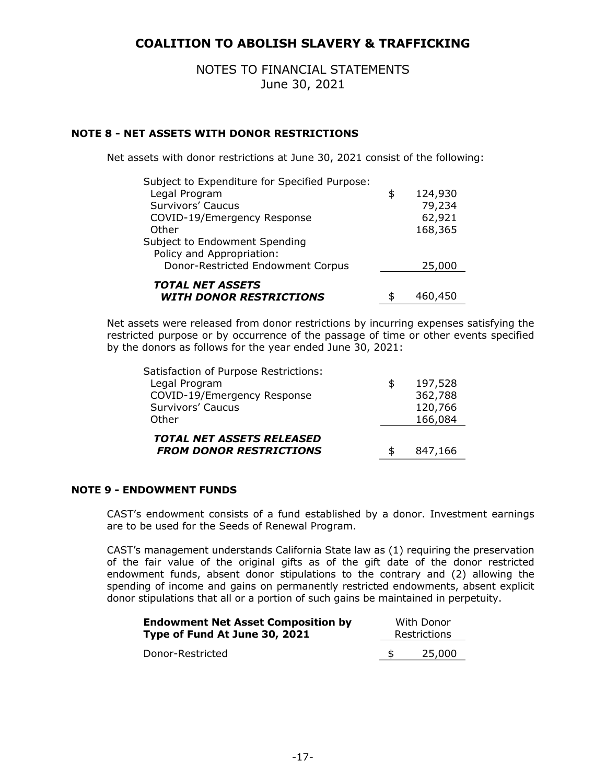NOTES TO FINANCIAL STATEMENTS June 30, 2021

#### **NOTE 8 - NET ASSETS WITH DONOR RESTRICTIONS**

Net assets with donor restrictions at June 30, 2021 consist of the following:

| Subject to Expenditure for Specified Purpose: |               |
|-----------------------------------------------|---------------|
| Legal Program                                 | \$<br>124,930 |
| Survivors' Caucus                             | 79,234        |
| COVID-19/Emergency Response                   | 62,921        |
| Other                                         | 168,365       |
| Subject to Endowment Spending                 |               |
| Policy and Appropriation:                     |               |
| Donor-Restricted Endowment Corpus             | 25,000        |
| <b>TOTAL NET ASSETS</b>                       |               |
| <b>WITH DONOR RESTRICTIONS</b>                | \$<br>460,450 |

Net assets were released from donor restrictions by incurring expenses satisfying the restricted purpose or by occurrence of the passage of time or other events specified by the donors as follows for the year ended June 30, 2021:

| Satisfaction of Purpose Restrictions:                              |               |
|--------------------------------------------------------------------|---------------|
| Legal Program                                                      | \$<br>197,528 |
| COVID-19/Emergency Response                                        | 362,788       |
| Survivors' Caucus                                                  | 120,766       |
| Other                                                              | 166,084       |
| <b>TOTAL NET ASSETS RELEASED</b><br><b>FROM DONOR RESTRICTIONS</b> | 847,166       |

#### **NOTE 9 - ENDOWMENT FUNDS**

CAST's endowment consists of a fund established by a donor. Investment earnings are to be used for the Seeds of Renewal Program.

CAST's management understands California State law as (1) requiring the preservation of the fair value of the original gifts as of the gift date of the donor restricted endowment funds, absent donor stipulations to the contrary and (2) allowing the spending of income and gains on permanently restricted endowments, absent explicit donor stipulations that all or a portion of such gains be maintained in perpetuity.

| <b>Endowment Net Asset Composition by</b> | With Donor |              |  |  |
|-------------------------------------------|------------|--------------|--|--|
| Type of Fund At June 30, 2021             |            | Restrictions |  |  |
| Donor-Restricted                          |            | 25,000       |  |  |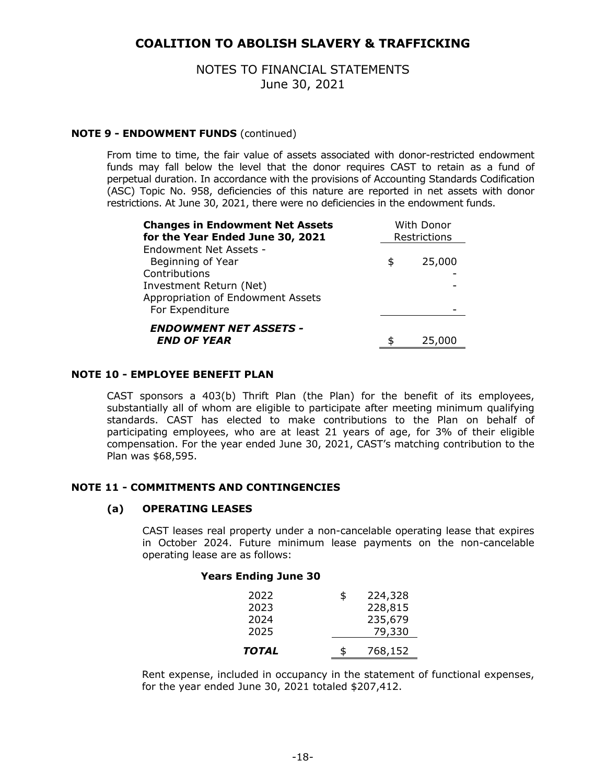### NOTES TO FINANCIAL STATEMENTS June 30, 2021

#### **NOTE 9 - ENDOWMENT FUNDS** (continued)

From time to time, the fair value of assets associated with donor-restricted endowment funds may fall below the level that the donor requires CAST to retain as a fund of perpetual duration. In accordance with the provisions of Accounting Standards Codification (ASC) Topic No. 958, deficiencies of this nature are reported in net assets with donor restrictions. At June 30, 2021, there were no deficiencies in the endowment funds.

| With Donor<br>Restrictions |  |
|----------------------------|--|
| 25,000                     |  |
|                            |  |
|                            |  |
|                            |  |
| 25,000                     |  |
| \$                         |  |

#### **NOTE 10 - EMPLOYEE BENEFIT PLAN**

 CAST sponsors a 403(b) Thrift Plan (the Plan) for the benefit of its employees, substantially all of whom are eligible to participate after meeting minimum qualifying standards. CAST has elected to make contributions to the Plan on behalf of participating employees, who are at least 21 years of age, for 3% of their eligible compensation. For the year ended June 30, 2021, CAST's matching contribution to the Plan was \$68,595.

#### **NOTE 11 - COMMITMENTS AND CONTINGENCIES**

#### **(a) OPERATING LEASES**

CAST leases real property under a non-cancelable operating lease that expires in October 2024. Future minimum lease payments on the non-cancelable operating lease are as follows:

#### **Years Ending June 30**

| 235,679<br>79,330 |
|-------------------|
|                   |
| 228,815           |
| 224,328           |
|                   |

Rent expense, included in occupancy in the statement of functional expenses, for the year ended June 30, 2021 totaled \$207,412.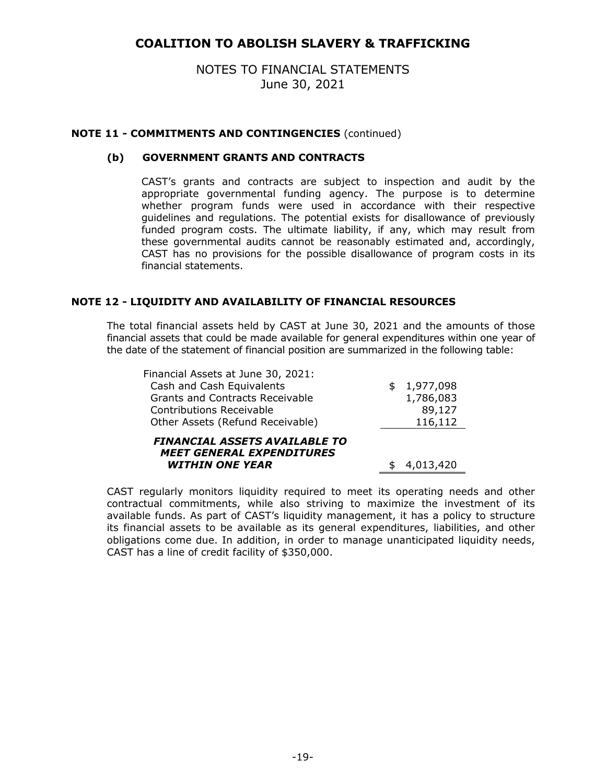### NOTES TO FINANCIAL STATEMENTS June 30, 2021

#### **NOTE 11 - COMMITMENTS AND CONTINGENCIES** (continued)

#### **(b) GOVERNMENT GRANTS AND CONTRACTS**

 CAST's grants and contracts are subject to inspection and audit by the appropriate governmental funding agency. The purpose is to determine whether program funds were used in accordance with their respective guidelines and regulations. The potential exists for disallowance of previously funded program costs. The ultimate liability, if any, which may result from these governmental audits cannot be reasonably estimated and, accordingly, CAST has no provisions for the possible disallowance of program costs in its financial statements.

#### **NOTE 12 - LIQUIDITY AND AVAILABILITY OF FINANCIAL RESOURCES**

The total financial assets held by CAST at June 30, 2021 and the amounts of those financial assets that could be made available for general expenditures within one year of the date of the statement of financial position are summarized in the following table:

| <b>FINANCIAL ASSETS AVAILABLE TO</b><br><b>MEET GENERAL EXPENDITURES</b><br><b>WITHIN ONE YEAR</b> | 4,013,420   |
|----------------------------------------------------------------------------------------------------|-------------|
| Other Assets (Refund Receivable)                                                                   | 116,112     |
| <b>Contributions Receivable</b>                                                                    | 89,127      |
| <b>Grants and Contracts Receivable</b>                                                             | 1,786,083   |
| Cash and Cash Equivalents                                                                          | \$1,977,098 |
| Financial Assets at June 30, 2021:                                                                 |             |

CAST regularly monitors liquidity required to meet its operating needs and other contractual commitments, while also striving to maximize the investment of its available funds. As part of CAST's liquidity management, it has a policy to structure its financial assets to be available as its general expenditures, liabilities, and other obligations come due. In addition, in order to manage unanticipated liquidity needs, CAST has a line of credit facility of \$350,000.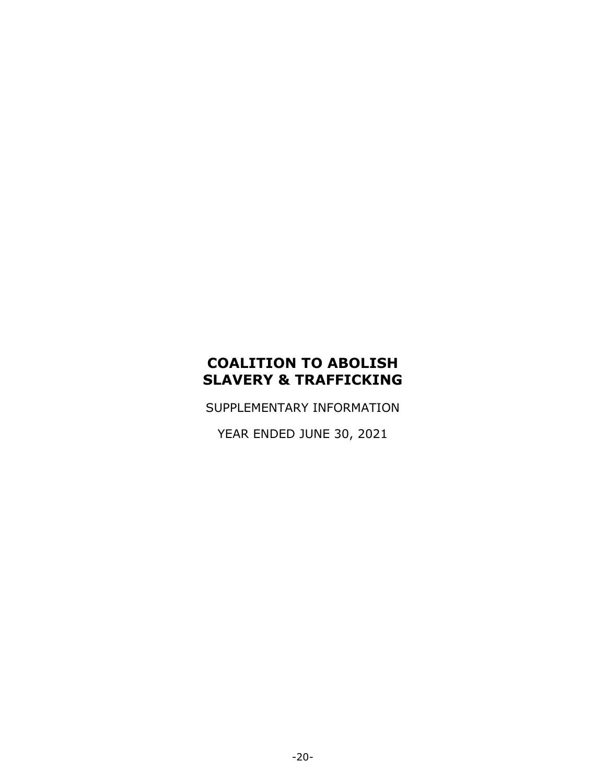SUPPLEMENTARY INFORMATION

YEAR ENDED JUNE 30, 2021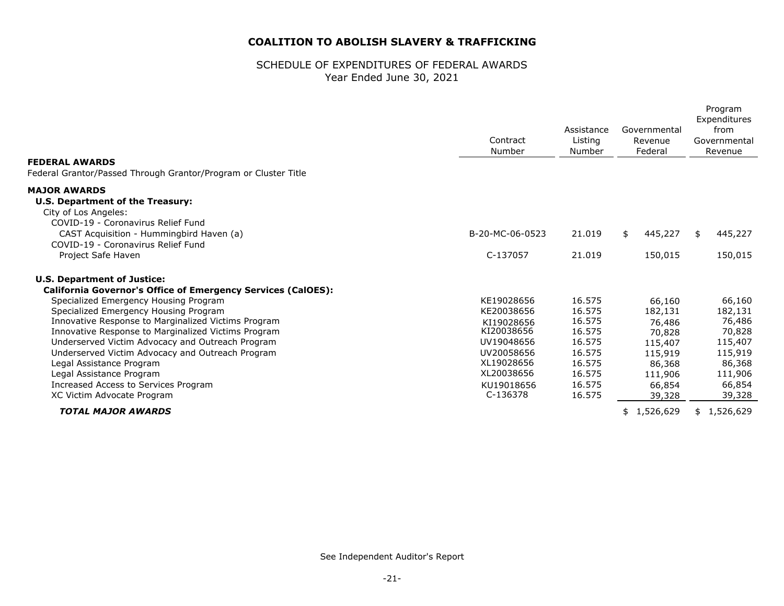#### SCHEDULE OF EXPENDITURES OF FEDERAL AWARDS Year Ended June 30, 2021

|                                                                                          | Contract<br>Number | Assistance<br>Listing<br>Number | Governmental<br>Revenue<br>Federal | Program<br>Expenditures<br>from<br>Governmental<br>Revenue |
|------------------------------------------------------------------------------------------|--------------------|---------------------------------|------------------------------------|------------------------------------------------------------|
| <b>FEDERAL AWARDS</b><br>Federal Grantor/Passed Through Grantor/Program or Cluster Title |                    |                                 |                                    |                                                            |
| <b>MAJOR AWARDS</b>                                                                      |                    |                                 |                                    |                                                            |
| U.S. Department of the Treasury:                                                         |                    |                                 |                                    |                                                            |
| City of Los Angeles:<br>COVID-19 - Coronavirus Relief Fund                               |                    |                                 |                                    |                                                            |
| CAST Acquisition - Hummingbird Haven (a)                                                 | B-20-MC-06-0523    | 21.019                          | 445,227<br>\$                      | 445,227<br>\$                                              |
| COVID-19 - Coronavirus Relief Fund                                                       |                    |                                 |                                    |                                                            |
| Project Safe Haven                                                                       | C-137057           | 21.019                          | 150,015                            | 150,015                                                    |
| <b>U.S. Department of Justice:</b>                                                       |                    |                                 |                                    |                                                            |
| <b>California Governor's Office of Emergency Services (CalOES):</b>                      |                    |                                 |                                    |                                                            |
| Specialized Emergency Housing Program                                                    | KE19028656         | 16.575                          | 66,160                             | 66,160                                                     |
| Specialized Emergency Housing Program                                                    | KE20038656         | 16.575                          | 182,131                            | 182,131                                                    |
| Innovative Response to Marginalized Victims Program                                      | KI19028656         | 16.575                          | 76,486                             | 76,486                                                     |
| Innovative Response to Marginalized Victims Program                                      | KI20038656         | 16.575                          | 70,828                             | 70,828                                                     |
| Underserved Victim Advocacy and Outreach Program                                         | UV19048656         | 16.575                          | 115,407                            | 115,407                                                    |
| Underserved Victim Advocacy and Outreach Program                                         | UV20058656         | 16.575                          | 115,919                            | 115,919                                                    |
| Legal Assistance Program                                                                 | XL19028656         | 16.575                          | 86,368                             | 86,368                                                     |
| Legal Assistance Program                                                                 | XL20038656         | 16.575                          | 111,906                            | 111,906                                                    |
| Increased Access to Services Program                                                     | KU19018656         | 16.575                          | 66,854                             | 66,854                                                     |
| XC Victim Advocate Program                                                               | C-136378           | 16.575                          | 39,328                             | 39,328                                                     |
| <b>TOTAL MAJOR AWARDS</b>                                                                |                    |                                 | \$1,526,629                        | \$1,526,629                                                |